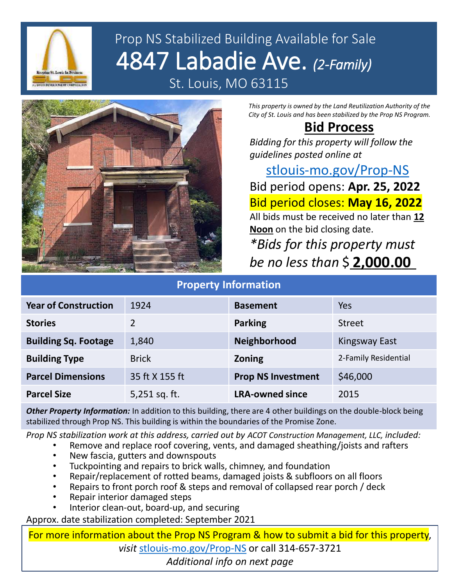

# Prop NS Stabilized Building Available for Sale 4847 Labadie Ave. *(2-Family)* St. Louis, MO 63115



*This property is owned by the Land Reutilization Authority of the City of St. Louis and has been stabilized by the Prop NS Program.*

### **Bid Process**

*Bidding for this property will follow the guidelines posted online at* 

[stlouis-mo.gov/Prop-NS](https://stlouis-mo.gov/Prop-NS) Bid period opens: **Apr. 25, 2022** Bid period closes: **May 16, 2022** All bids must be received no later than **12 Noon** on the bid closing date.

*\*Bids for this property must be no less than* \$\_\_\_\_\_\_\_\_\_ **2,000.00**

#### **Property Information**

| <b>Year of Construction</b> | 1924           | <b>Basement</b>           | Yes                  |
|-----------------------------|----------------|---------------------------|----------------------|
| <b>Stories</b>              | $\overline{2}$ | <b>Parking</b>            | <b>Street</b>        |
| <b>Building Sq. Footage</b> | 1,840          | Neighborhood              | <b>Kingsway East</b> |
| <b>Building Type</b>        | <b>Brick</b>   | <b>Zoning</b>             | 2-Family Residential |
| <b>Parcel Dimensions</b>    | 35 ft X 155 ft | <b>Prop NS Investment</b> | \$46,000             |
| <b>Parcel Size</b>          | 5,251 sq. ft.  | <b>LRA-owned since</b>    | 2015                 |

*Other Property Information:* In addition to this building, there are 4 other buildings on the double-block being stabilized through Prop NS. This building is within the boundaries of the Promise Zone.

*Prop NS stabilization work at this address, carried out by ACOT Construction Management, LLC, included:*

- Remove and replace roof covering, vents, and damaged sheathing/joists and rafters
- New fascia, gutters and downspouts
- Tuckpointing and repairs to brick walls, chimney, and foundation
- Repair/replacement of rotted beams, damaged joists & subfloors on all floors
- Repairs to front porch roof & steps and removal of collapsed rear porch / deck
- Repair interior damaged steps
- Interior clean-out, board-up, and securing

Approx. date stabilization completed: September 2021

For more information about the Prop NS Program & how to submit a bid for this property, *visit* [stlouis-mo.gov/Prop-NS](https://stlouis-mo.gov/Prop-NS) or call 314-657-3721 *Additional info on next page*